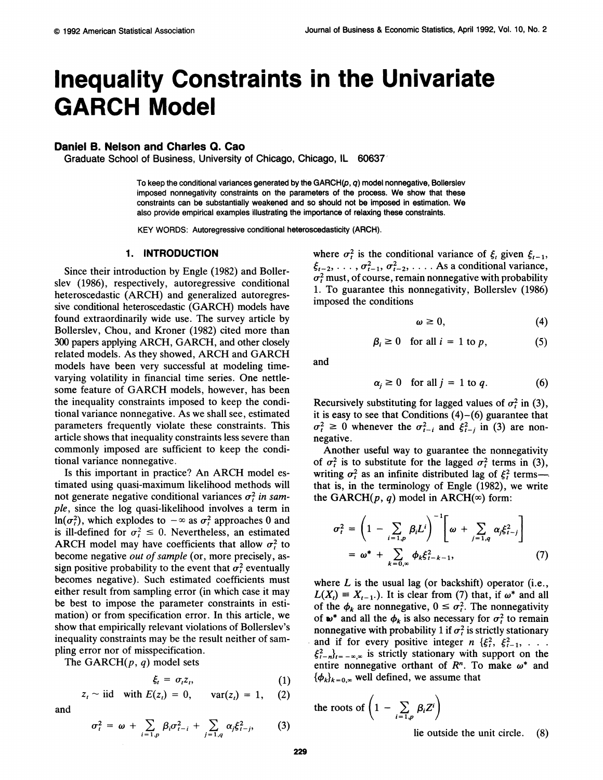# **Inequality Constraints in the Univariate GARCH Model**

## **Daniel B. Nelson and Charles Q. Cao**

**Graduate School of Business, University of Chicago, Chicago, IL 60637** 

**To keep the conditional variances generated by the GARCH(p, q)model nonnegative, Bollerslev imposed nonnegativity constraints on the parameters of the process. We show that these constraints can be substantially weakened and so should not be imposed in estimation. We**  also provide empirical examples illustrating the importance of relaxing these constraints.

**KEY WORDS: Autoregressive conditional heteroscedasticity (ARCH).** 

## **1. INTRODUCTION**

**Since their introduction by Engle (1982) and Bollerslev (1986), respectively, autoregressive conditional heteroscedastic (ARCH) and generalized autoregressive conditional heteroscedastic (GARCH) models have found extraordinarily wide use. The survey article by Bollerslev, Chou, and Kroner (1982) cited more than 300 papers applying ARCH, GARCH, and other closely related models. As they showed, ARCH and GARCH models have been very successful at modeling timevarying volatility in financial time series. One nettlesome feature of GARCH models, however, has been the inequality constraints imposed to keep the conditional variance nonnegative. As we shall see, estimated parameters frequently violate these constraints. This article shows that inequality constraints less severe than commonly imposed are sufficient to keep the conditional variance nonnegative.** 

**Is this important in practice? An ARCH model estimated using quasi-maximum likelihood methods will**  not generate negative conditional variances  $\sigma_t^2$  in sam**ple, since the log quasi-likelihood involves a term in**   $\ln(\sigma_i^2)$ , which explodes to  $-\infty$  as  $\sigma_i^2$  approaches 0 and is ill-defined for  $\sigma_t^2 \leq 0$ . Nevertheless, an estimated **ARCH** model may have coefficients that allow  $\sigma_t^2$  to **become negative out of sample (or, more precisely, assign positive probability to the event that**  $\sigma_t^2$  **eventually becomes negative). Such estimated coefficients must either result from sampling error (in which case it may be best to impose the parameter constraints in estimation) or from specification error. In this article, we show that empirically relevant violations of Bollerslev's inequality constraints may be the result neither of sampling error nor of misspecification.** 

**The GARCH(p, q) model sets** 

$$
\xi_t = \sigma_t z_t, \tag{1}
$$
\n
$$
z_t \sim \text{iid} \quad \text{with } E(z_t) = 0, \quad \text{var}(z_t) = 1, \tag{2}
$$

**and** 

$$
\sigma_t^2 = \omega + \sum_{i=1,p} \beta_i \sigma_{t-i}^2 + \sum_{j=1,q} \alpha_j \xi_{t-j}^2, \qquad (3)
$$

where  $\sigma_t^2$  is the conditional variance of  $\xi_t$  given  $\xi_{t-1}$ ,  $\xi_{t-2}, \ldots, \sigma_{t-1}^2, \sigma_{t-2}^2, \ldots$  As a conditional variance,  $\sigma_t^2$  must, of course, remain nonnegative with probability **1. To guarantee this nonnegativity, Bollerslev (1986) imposed the conditions** 

$$
\omega \geq 0, \tag{4}
$$

$$
\beta_i \ge 0 \quad \text{for all } i = 1 \text{ to } p,\tag{5}
$$

**and** 

$$
\alpha_j \ge 0 \quad \text{for all } j = 1 \text{ to } q. \tag{6}
$$

Recursively substituting for lagged values of  $\sigma_t^2$  in (3), **it is easy to see that Conditions (4)-(6) guarantee that**   $\sigma_t^2 \geq 0$  whenever the  $\sigma_{t-i}^2$  and  $\xi_{t-j}^2$  in (3) are non**negative.** 

**Another useful way to guarantee the nonnegativity**  of  $\sigma_t^2$  is to substitute for the lagged  $\sigma_t^2$  terms in (3), writing  $\sigma_t^2$  as an infinite distributed lag of  $\xi_t^2$  terms**that is, in the terminology of Engle (1982), we write**  the GARCH( $p$ ,  $q$ ) model in ARCH( $\infty$ ) form:

$$
\sigma_t^2 = \left(1 - \sum_{i=1,p} \beta_i L^i\right)^{-1} \left[\omega + \sum_{j=1,q} \alpha_j \xi_{t-j}^2\right]
$$
  
=  $\omega^* + \sum_{k=0,\infty} \phi_k \xi_{t-k-1}^2,$  (7)

**where L is the usual lag (or backshift) operator (i.e.,**   $L(X_i) = X_{i-1}$ . It is clear from (7) that, if  $\omega^*$  and all of the  $\phi_k$  are nonnegative,  $0 \leq \sigma_t^2$ . The nonnegativity of  $\boldsymbol{\omega}^*$  and all the  $\phi_k$  is also necessary for  $\sigma_t^2$  to remain **nonnegative with probability 1 if**  $\sigma_t^2$  **is strictly stationary** and if for every positive integer  $n \{\xi_i^2, \xi_{i-1}^2, \ldots \}$  $\xi_{t-n}^2$ <sub> $t=-\infty,\infty$ </sub> is strictly stationary with support on the entire nonnegative orthant of  $R<sup>n</sup>$ . To make  $\omega^*$  and  ${\phi_k}_{k=0,\infty}$  well defined, we assume that

the roots of 
$$
\left(1 - \sum_{i=1,p} \beta_i Z^i\right)
$$

**lie outside the unit circle. (8)**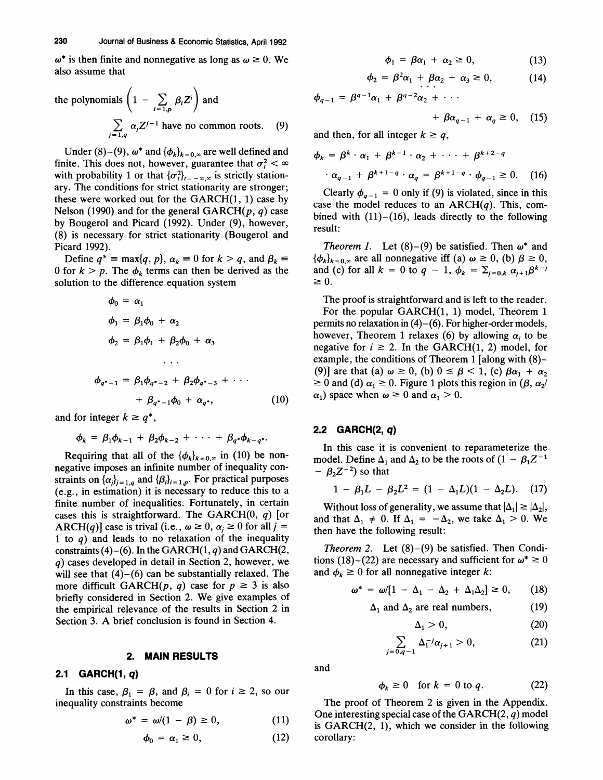$\omega^*$  is then finite and nonnegative as long as  $\omega \geq 0$ . We **also assume that** 

the polynomials 
$$
\left(1 - \sum_{i=1,p} \beta_i Z^i\right)
$$
 and  

$$
\sum_{j=1,q} \alpha_j Z^{j-1}
$$
 have no common roots. (9)

Under  $(8)-(9)$ ,  $\omega^*$  and  $\{\phi_k\}_{k=0,\infty}$  are well defined and **finite. This does not, however, guarantee that**  $\sigma_t^2 < \infty$ with probability 1 or that  ${\{\sigma_i^2\}}_{i=-\infty,\infty}$  is strictly station**ary. The conditions for strict stationarity are stronger; these were worked out for the GARCH(1, 1) case by Nelson (1990) and for the general GARCH(p, q) case by Bougerol and Picard (1992). Under (9), however, (8) is necessary for strict stationarity (Bougerol and Picard 1992).** 

Define  $q^*$  **=**  $\max\{q, p\}$ ,  $\alpha_k$  **=** 0 for  $k > q$ , and  $\beta_k$  **=** 0 for  $k > p$ . The  $\phi_k$  **terms** can then be derived as the **solution to the difference equation system** 

$$
\phi_0 = \alpha_1
$$
\n
$$
\phi_1 = \beta_1 \phi_0 + \alpha_2
$$
\n
$$
\phi_2 = \beta_1 \phi_1 + \beta_2 \phi_0 + \alpha_3
$$
\n...\n
$$
\phi_{q^*-1} = \beta_1 \phi_{q^*-2} + \beta_2 \phi_{q^*-3} + \cdots
$$
\n
$$
+ \beta_{q^*-1} \phi_0 + \alpha_{q^*}, \qquad (10)
$$

and for integer  $k \geq q^*$ ,

$$
\phi_k = \beta_1 \phi_{k-1} + \beta_2 \phi_{k-2} + \cdots + \beta_q \phi_{k-q^*}.
$$

**Requiring that all of the**  $\{\phi_k\}_{k=0,\infty}$  **in (10) be nonnegative imposes an infinite number of inequality con**straints on  $\{\alpha_i\}_{i=1,q}$  and  $\{\beta_i\}_{i=1,p}$ . For practical purposes **(e.g., in estimation) it is necessary to reduce this to a finite number of inequalities. Fortunately, in certain cases this is straightforward. The GARCH(0, q) [or ARCH(q)]** case is trival (i.e.,  $\omega \ge 0$ ,  $\alpha_i \ge 0$  for all j = **1 to q) and leads to no relaxation of the inequality constraints (4)-(6). In the GARCH(1, q) and GARCH(2, q) cases developed in detail in Section 2, however, we will see that (4)-(6) can be substantially relaxed. The**  more difficult GARCH( $p$ ,  $q$ ) case for  $p \ge 3$  is also **briefly considered in Section 2. We give examples of the empirical relevance of the results in Section 2 in Section 3. A brief conclusion is found in Section 4.** 

#### **2. MAIN RESULTS**

## **2.1 GARCH(1, q)**

In this case,  $\beta_1 = \beta$ , and  $\beta_i = 0$  for  $i \ge 2$ , so our **inequality constraints become** 

$$
\omega^* = \omega/(1 - \beta) \ge 0, \qquad (11)
$$

$$
\phi_0 = \alpha_1 \ge 0,\tag{12}
$$

$$
\phi_1 = \beta \alpha_1 + \alpha_2 \ge 0, \tag{13}
$$

$$
\phi_2 = \beta^2 \alpha_1 + \beta \alpha_2 + \alpha_3 \ge 0, \qquad (14)
$$

 $\phi_{a-1} = \beta^{q-1}\alpha_1 + \beta^{q-2}\alpha_2 + \cdots$ 

$$
+\beta\alpha_{q-1}+\alpha_q\geq 0, \quad (15)
$$

and then, for all integer  $k \geq q$ ,

$$
\phi_k = \beta^k \cdot \alpha_1 + \beta^{k-1} \cdot \alpha_2 + \cdots + \beta^{k+2-q}
$$

$$
\cdot \alpha_{q-1} + \beta^{k+1-q} \cdot \alpha_q = \beta^{k+1-q} \cdot \phi_{q-1} \ge 0. \quad (16)
$$

Clearly  $\phi_{q-1} = 0$  only if (9) is violated, since in this **case the model reduces to an ARCH(q). This, combined with (11)-(16), leads directly to the following result:** 

**Theorem 1.** Let  $(8)$ – $(9)$  be satisfied. Then  $\omega^*$  and  ${\phi_k}_{k=0,\infty}$  are all nonnegative iff (a)  $\omega \ge 0$ , (b)  $\beta \ge 0$ , and (c) for all  $k = 0$  to  $q - 1$ ,  $\phi_k = \sum_{j=0,k} \alpha_{j+1} \beta^{k-j}$  $\geq 0$ .

**The proof is straightforward and is left to the reader. For the popular GARCH(1, 1) model, Theorem 1 permits no relaxation in (4)-(6). For higher-order models,**  however, Theorem 1 relaxes (6) by allowing  $\alpha_i$  to be negative for  $i \ge 2$ . In the GARCH(1, 2) model, for **example, the conditions of Theorem 1 [along with (8)-**  (9)] are that (a)  $\omega \ge 0$ , (b)  $0 \le \beta < 1$ , (c)  $\beta \alpha_1 + \alpha_2$  $\geq 0$  and (d)  $\alpha_1 \geq 0$ . Figure 1 plots this region in ( $\beta$ ,  $\alpha_2$ /  $\alpha_1$ ) space when  $\omega \geq 0$  and  $\alpha_1 > 0$ .

## **2.2 GARCH(2, q)**

**In this case it is convenient to reparameterize the**  model. Define  $\Delta_1$  and  $\Delta_2$  to be the roots of  $(1 - \beta_1 Z^{-1})$  $\beta_2 Z^{-2}$ ) so that

$$
1 - \beta_1 L - \beta_2 L^2 = (1 - \Delta_1 L)(1 - \Delta_2 L). \quad (17)
$$

**Without loss of generality, we assume that**  $|\Delta_1| \geq |\Delta_2|$ **,** and that  $\Delta_1 \neq 0$ . If  $\Delta_1 = -\Delta_2$ , we take  $\Delta_1 > 0$ . We **then have the following result:** 

**Theorem 2. Let (8)-(9) be satisfied. Then Condi**tions (18)–(22) are necessary and sufficient for  $\omega^* \ge 0$ and  $\phi_k \geq 0$  for all nonnegative integer k:

$$
\omega^* = \omega/[1 - \Delta_1 - \Delta_2 + \Delta_1 \Delta_2] \geq 0, \qquad (18)
$$

$$
\Delta_1 \text{ and } \Delta_2 \text{ are real numbers,} \tag{19}
$$

$$
\Delta_1 > 0, \tag{20}
$$

$$
\sum_{j=0,q-1} \Delta_1^{-j} \alpha_{j+1} > 0, \tag{21}
$$

**and** 

$$
\phi_k \ge 0 \quad \text{for } k = 0 \text{ to } q. \tag{22}
$$

**The proof of Theorem 2 is given in the Appendix. One interesting special case of the GARCH(2, q) model is GARCH(2, 1), which we consider in the following**   $\alpha$ **p** corollary: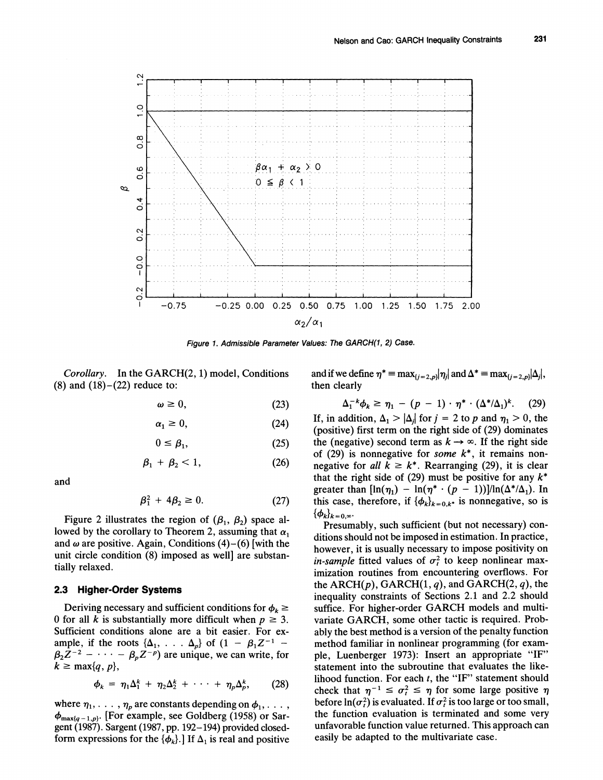

**Figure 1. Admissible Parameter Values: The GARCH(1, 2) Case.** 

**Corollary. In the GARCH(2, 1) model, Conditions (8) and (18)-(22) reduce to:** 

$$
\omega \geq 0, \tag{23}
$$

$$
\alpha_1 \geq 0,\tag{24}
$$

$$
0 \le \beta_1,\tag{25}
$$

$$
\beta_1 + \beta_2 < 1,\tag{26}
$$

**and** 

$$
\beta_1^2 + 4\beta_2 \ge 0. \tag{27}
$$

**Figure 2 illustrates the region of**  $(\beta_1, \beta_2)$  **space al**lowed by the corollary to Theorem 2, assuming that  $\alpha_1$ and  $\omega$  are positive. Again, Conditions (4)–(6) [with the **unit circle condition (8) imposed as well] are substantially relaxed.** 

## **2.3 Higher-Order Systems**

Deriving necessary and sufficient conditions for  $\phi_k \geq$ 0 for all k is substantially more difficult when  $p \geq 3$ . **Sufficient conditions alone are a bit easier. For ex**ample, if the roots  $\{\Delta_1, \ldots, \Delta_p\}$  of  $(1 - \beta_1 Z^{-1} \beta_2 Z^{-2}$  –  $\cdots$  –  $\beta_p Z^{-p}$ ) are unique, we can write, for  $k \geq \max\{q, p\},\$ 

$$
\phi_k = \eta_1 \Delta_1^k + \eta_2 \Delta_2^k + \cdots + \eta_p \Delta_p^k, \qquad (28)
$$

where  $\eta_1, \ldots, \eta_p$  are constants depending on  $\phi_1, \ldots$ , **max{q-l,p}- [For example, see Goldberg (1958) or Sargent (1987). Sargent (1987, pp. 192-194) provided closed**form expressions for the  $\{\phi_k\}$ . If  $\Delta_1$  is real and positive and if we define  $\eta^* = \max_{\{i=2,p\}} |\eta_i|$  and  $\Delta^* = \max_{\{i=2,p\}} |\Delta_i|$ , **then clearly** 

$$
\Delta_1^{-k}\phi_k \geq \eta_1 - (p-1) \cdot \eta^* \cdot (\Delta^* / \Delta_1)^k. \tag{29}
$$

If, in addition,  $\Delta_1 > |\Delta_j|$  for  $j = 2$  to p and  $\eta_1 > 0$ , the **(positive) first term on the right side of (29) dominates**  the (negative) second term as  $k \rightarrow \infty$ . If the right side **of (29) is nonnegative for some k\*, it remains nonnegative for all**  $k \geq k^*$ **. Rearranging (29), it is clear** that the right side of  $(29)$  must be positive for any  $k^*$ **greater than**  $[\ln(\eta_1) - \ln(\eta^* \cdot (p-1))] / \ln(\Delta^* / \Delta_1)$ . In this case, therefore, if  $\{\phi_k\}_{k=0,k^*}$  is nonnegative, so is  ${\{\phi_k\}_k=0.8}$ .

**Presumably, such sufficient (but not necessary) conditions should not be imposed in estimation. In practice, however, it is usually necessary to impose positivity on**  *in-sample* fitted values of  $\sigma_t^2$  to keep nonlinear max**imization routines from encountering overflows. For**  the  $ARCH(p)$ ,  $GARCH(1, q)$ , and  $GARCH(2, q)$ , the **inequality constraints of Sections 2.1 and 2.2 should suffice. For higher-order GARCH models and multivariate GARCH, some other tactic is required. Probably the best method is a version of the penalty function method familiar in nonlinear programming (for example, Luenberger 1973): Insert an appropriate "IF" statement into the subroutine that evaluates the likelihood function. For each t, the "IF" statement should**  check that  $\eta^{-1} \leq \sigma_t^2 \leq \eta$  for some large positive  $\eta$ **before**  $\ln(\sigma^2)$  **is evaluated. If**  $\sigma^2$  **is too large or too small, the function evaluation is terminated and some very unfavorable function value returned. This approach can easily be adapted to the multivariate case.**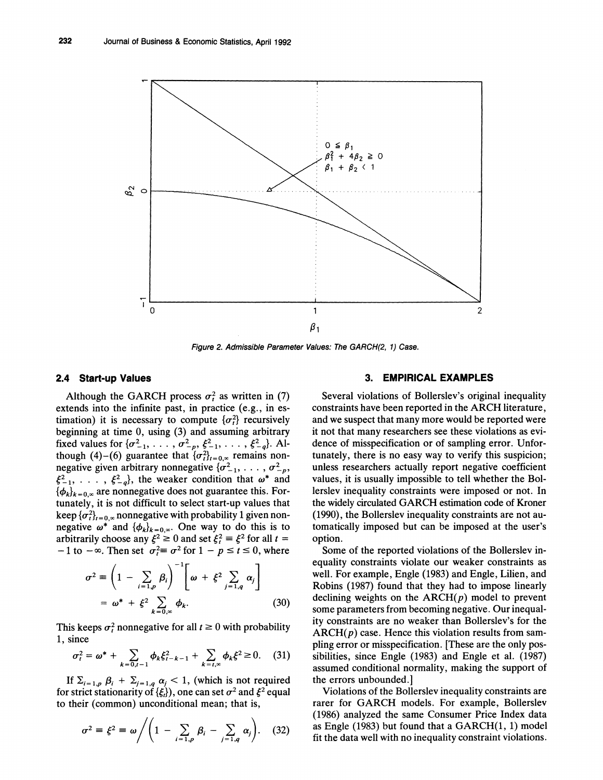

**Figure 2. Admissible Parameter Values: The GARCH(2, 1) Case.** 

# **2.4 Start-up Values**

Although the GARCH process  $\sigma_t^2$  as written in (7) **extends into the infinite past, in practice (e.g., in estimation)** it is necessary to compute  $\{\sigma_t^2\}$  recursively **beginning at time 0, using (3) and assuming arbitrary 11. 1 fixed values for**  $\{\sigma_{-1}^2, \ldots, \sigma_{-p}^2, \xi_{-1}^2, \ldots, \xi_{-q}^2\}$ . Although (4)–(6) guarantee that  $\{\sigma_i^2\}_{i=0,\infty}$  remains non**negative given arbitrary nonnegative**  ${\sigma^2_{-1}, \ldots, \sigma^2_{-p}}$  $\xi_{-1}^2, \ldots, \xi_{-q}^2$ , the weaker condition that  $\omega^*$  and  ${\phi_k}_{k=0}$  are nonnegative does not guarantee this. For**tunately, it is not difficult to select start-up values that**  keep  ${\lbrace \sigma_t^2 \rbrace}_{t=0, \infty}$  nonnegative with probability 1 given nonnegative  $\omega^*$  and  ${\phi_k}_{k=0,\infty}$ . One way to do this is to **arbitrarily choose any**  $\xi^2 \ge 0$  **and set**  $\xi^2 = \xi^2$  **for all**  $t =$  $-1$  **to**  $-\infty$ . Then set  $\sigma_t^2 \equiv \sigma^2$  for  $1 - p \le t \le 0$ , where

$$
\sigma^2 \equiv \left(1 - \sum_{i=1,p} \beta_i\right)^{-1} \left[\omega + \xi^2 \sum_{j=1,q} \alpha_j\right]
$$

$$
= \omega^* + \xi^2 \sum_{k=0,\infty} \phi_k.
$$
 (30)

This keeps  $\sigma_t^2$  nonnegative for all  $t \geq 0$  with probability **1, since** 

$$
\sigma_t^2 = \omega^* + \sum_{k=0,t-1} \phi_k \xi_{t-k-1}^2 + \sum_{k=t,\infty} \phi_k \xi^2 \ge 0. \tag{31}
$$

If  $\Sigma_{i=1,p}$   $\beta_i + \Sigma_{j=1,q}$   $\alpha_j < 1$ , (which is not required **for strict stationarity of**  $\{\xi_i\}$ **, one can set**  $\sigma^2$  **and**  $\xi^2$  **equal to their (common) unconditional mean; that is,** 

$$
\sigma^2 \equiv \xi^2 \equiv \omega \Bigg/ \Bigg( 1 - \sum_{i=1,\rho} \beta_i - \sum_{j=1,q} \alpha_j \Bigg). \quad (32)
$$

## **3. EMPIRICAL EXAMPLES**

**Several violations of Bollerslev's original inequality constraints have been reported in the ARCH literature, and we suspect that many more would be reported were it not that many researchers see these violations as evidence of misspecification or of sampling error. Unfortunately, there is no easy way to verify this suspicion; unless researchers actually report negative coefficient values, it is usually impossible to tell whether the Bollerslev inequality constraints were imposed or not. In the widely circulated GARCH estimation code of Kroner (1990), the Bollerslev inequality constraints are not automatically imposed but can be imposed at the user's option.** 

**Some of the reported violations of the Bollerslev inequality constraints violate our weaker constraints as well. For example, Engle (1983) and Engle, Lilien, and Robins (1987) found that they had to impose linearly**  declining weights on the  $ARCH(p)$  model to prevent **some parameters from becoming negative. Our inequality constraints are no weaker than Bollerslev's for the ARCH(p) case. Hence this violation results from sampling error or misspecification. [These are the only possibilities, since Engle (1983) and Engle et al. (1987) assumed conditional normality, making the support of the errors unbounded.]** 

**Violations of the Bollerslev inequality constraints are rarer for GARCH models. For example, Bollerslev (1986) analyzed the same Consumer Price Index data as Engle (1983) but found that a GARCH(1, 1) model fit the data well with no inequality constraint violations.**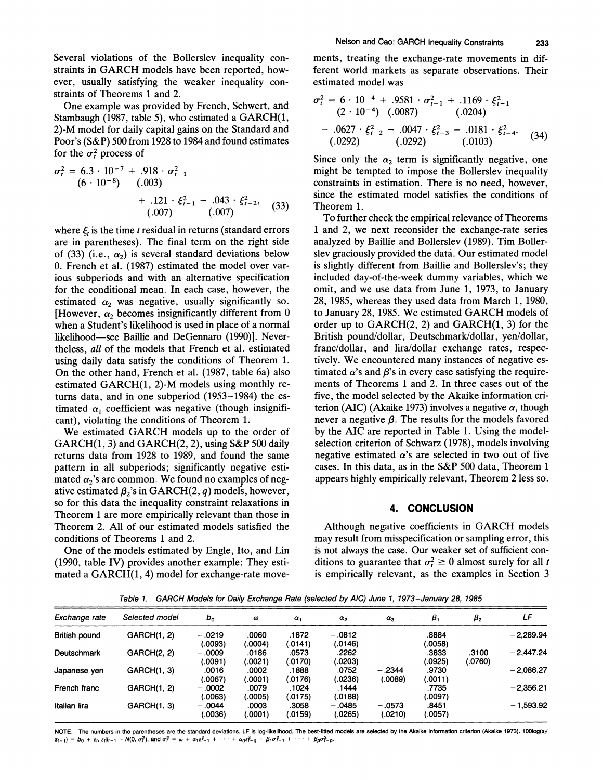**Several violations of the Bollerslev inequality constraints in GARCH models have been reported, however, usually satisfying the weaker inequality constraints of Theorems 1 and 2.** 

**One example was provided by French, Schwert, and Stambaugh (1987, table 5), who estimated a GARCH(1, 2)-M model for daily capital gains on the Standard and Poor's (S&P) 500 from 1928 to 1984 and found estimates**  for the  $\sigma_t^2$  process of

$$
\sigma_t^2 = 6.3 \cdot 10^{-7} + .918 \cdot \sigma_{t-1}^2
$$
  
(6 · 10<sup>-8</sup>) (0.003)  
+ .121 ·  $\xi_{t-1}^2$  - .043 ·  $\xi_{t-2}^2$ , (33)  
(0.007)

where  $\xi$ , is the time t residual in returns (standard errors **are in parentheses). The final term on the right side**  of (33) (i.e.,  $\alpha_2$ ) is several standard deviations below **0. French et al. (1987) estimated the model over various subperiods and with an alternative specification for the conditional mean. In each case, however, the**  estimated  $\alpha_2$  was negative, usually significantly so. [However,  $\alpha_2$  becomes insignificantly different from 0 **when a Student's likelihood is used in place of a normal**  likelihood-see Baillie and DeGennaro (1990)]. Never**theless, all of the models that French et al. estimated using daily data satisfy the conditions of Theorem 1. On the other hand, French et al. (1987, table 6a) also estimated GARCH(1, 2)-M models using monthly returns data, and in one subperiod (1953-1984) the es**timated  $\alpha_1$  coefficient was negative (though insignifi**cant), violating the conditions of Theorem 1.** 

**We estimated GARCH models up to the order of GARCH(1, 3) and GARCH(2, 2), using S&P 500 daily returns data from 1928 to 1989, and found the same pattern in all subperiods; significantly negative esti**mated  $\alpha_2$ 's are common. We found no examples of negative estimated  $\beta_2$ 's in GARCH(2, q) models, however, **so for this data the inequality constraint relaxations in Theorem 1 are more empirically relevant than those in Theorem 2. All of our estimated models satisfied the conditions of Theorems 1 and 2.** 

**One of the models estimated by Engle, Ito, and Lin (1990, table IV) provides another example: They estimated a GARCH(1, 4) model for exchange-rate move-** **ments, treating the exchange-rate movements in different world markets as separate observations. Their estimated model was** 

$$
\sigma_t^2 = 6 \cdot 10^{-4} + .9581 \cdot \sigma_{t-1}^2 + .1169 \cdot \xi_{t-1}^2
$$
  
(2 \cdot 10^{-4}) (.0087) (0.0204)  
- .0627 \cdot \xi\_{t-2}^2 - .0047 \cdot \xi\_{t-3}^2 - .0181 \cdot \xi\_{t-4}^2. (34)  
(.0292) (0.292) (0.0103)

Since only the  $\alpha_2$  term is significantly negative, one **might be tempted to impose the Bollerslev inequality constraints in estimation. There is no need, however, since the estimated model satisfies the conditions of Theorem 1.** 

**To further check the empirical relevance of Theorems 1 and 2, we next reconsider the exchange-rate series analyzed by Baillie and Bollerslev (1989). Tim Bollerslev graciously provided the data. Our estimated model is slightly different from Baillie and Bollerslev's; they included day-of-the-week dummy variables, which we omit, and we use data from June 1, 1973, to January 28, 1985, whereas they used data from March 1, 1980, to January 28, 1985. We estimated GARCH models of order up to GARCH(2, 2) and GARCH(1, 3) for the British pound/dollar, Deutschmark/dollar, yen/dollar, franc/dollar, and lira/dollar exchange rates, respectively. We encountered many instances of negative es**timated  $\alpha$ 's and  $\beta$ 's in every case satisfying the require**ments of Theorems 1 and 2. In three cases out of the five, the model selected by the Akaike information cri**terion (AIC) (Akaike 1973) involves a negative  $\alpha$ , though never a negative  $\beta$ . The results for the models favored **by the AIC are reported in Table 1. Using the modelselection criterion of Schwarz (1978), models involving**  negative estimated  $\alpha$ 's are selected in two out of five **cases. In this data, as in the S&P 500 data, Theorem 1 appears highly empirically relevant, Theorem 2 less so.** 

## **4. CONCLUSION**

**Although negative coefficients in GARCH models may result from misspecification or sampling error, this is not always the case. Our weaker set of sufficient con**ditions to guarantee that  $\sigma_t^2 \geq 0$  almost surely for all *t* **is empirically relevant, as the examples in Section 3** 

**Table 1. GARCH Models for Daily Exchange Rate (selected by AIC) June 1, 1973-January 28, 1985** 

| Exchange rate | Selected model     | $b_{o}$             | $\boldsymbol{\omega}$ | $\alpha_1$       | $\alpha_{2}$        | $\alpha_{3}$        | β,               | $\beta_{2}$      | LF          |
|---------------|--------------------|---------------------|-----------------------|------------------|---------------------|---------------------|------------------|------------------|-------------|
| British pound | GARCH(1, 2)        | $-.0219$<br>(.0093) | .0060<br>(.0004)      | .1872<br>(.0141) | $-.0812$<br>(.0146) |                     | .8884<br>.0058   |                  | $-2,289.94$ |
| Deutschmark   | <b>GARCH(2, 2)</b> | $-.0009$<br>(.0091) | .0186<br>(.0021)      | .0573<br>(.0170) | .2262<br>.0203)     |                     | .3833<br>(.0925) | .3100<br>(.0760) | $-2.447.24$ |
| Japanese yen  | GARCH(1, 3)        | .0016<br>(0067).    | .0002<br>(.0001)      | .1888<br>(.0176) | .0752<br>(.0236)    | $-2344$<br>(.0089)  | .9730<br>(.0011) |                  | $-2.086.27$ |
| French franc  | GARCH(1, 2)        | $-.0002$<br>(.0063) | .0079<br>(.0005)      | .1024<br>(.0175) | .1444<br>(0188)     |                     | .7735<br>0097    |                  | $-2,356.21$ |
| Italian lira  | GARCH(1, 3)        | $-.0044$<br>(.0036) | .0003<br>(.0001)      | .3058<br>(.0159) | $-.0485$<br>(.0265) | $-.0573$<br>(.0210) | .8451<br>.0057)  |                  | $-1.593.92$ |

NOTE: The numbers in the parentheses are the standard deviations. LF is log-likelihood. The best-fitted models are selected by the Akaike information criterion (Akaike 1973). 100log(s<sub>t</sub>/  $S_{t-1}$  =  $b_0 + \varepsilon_1$ ,  $\varepsilon_1 | t_{t-1} \sim N(0, \sigma_t^2)$ , and  $\sigma_t^2 = \omega + \alpha_1 \varepsilon_1^2 - 1 + \cdots + \alpha_0 \varepsilon_1^2 - \sigma_t^2 + \beta_1 \sigma_{t-1}^2 + \cdots + \beta_p \sigma_{t-p}^2$ .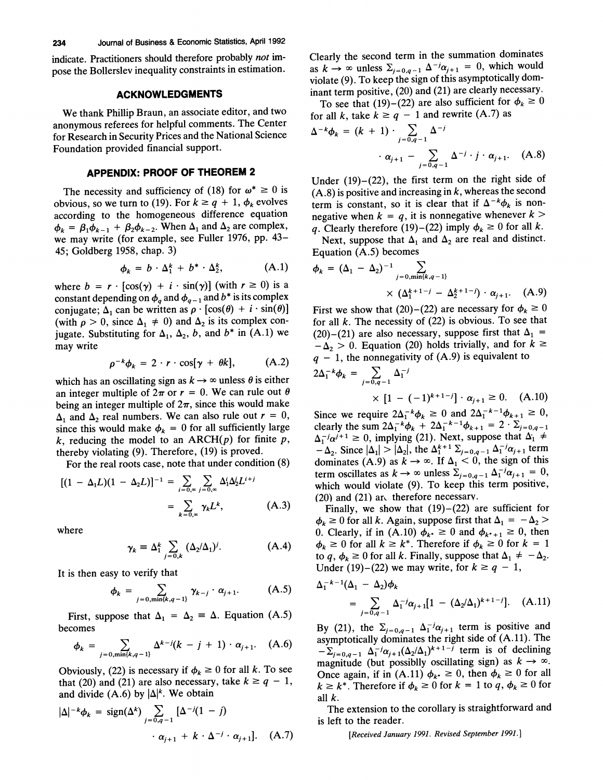**indicate. Practitioners should therefore probably not impose the Bollerslev inequality constraints in estimation.** 

## **ACKNOWLEDGMENTS**

**We thank Phillip Braun, an associate editor, and two anonymous referees for helpful comments. The Center for Research in Security Prices and the National Science Foundation provided financial support.** 

## **APPENDIX: PROOF OF THEOREM 2**

The necessity and sufficiency of (18) for  $\omega^* \geq 0$  is obvious, so we turn to (19). For  $k \ge q + 1$ ,  $\phi_k$  evolves **according to the homogeneous difference equation**   $\phi_k = \beta_1 \phi_{k-1} + \beta_2 \phi_{k-2}$ . When  $\Delta_1$  and  $\Delta_2$  are complex, **we may write (for example, see Fuller 1976, pp. 43- 45; Goldberg 1958, chap. 3)** 

$$
\phi_k = b \cdot \Delta_1^k + b^* \cdot \Delta_2^k, \qquad (A.1)
$$

**where**  $b = r \cdot [\cos(\gamma) + i \cdot \sin(\gamma)]$  (with  $r \ge 0$ ) is a constant depending on  $\phi_q$  and  $\phi_{q-1}$  and  $b^*$  is its complex **conjugate;**  $\Delta_1$  can be written as  $\rho \cdot [\cos(\theta) + i \cdot \sin(\theta)]$ (with  $\rho > 0$ , since  $\Delta_1 \neq 0$ ) and  $\Delta_2$  is its complex conjugate. Substituting for  $\Delta_1$ ,  $\Delta_2$ , b, and b<sup>\*</sup> in (A.1) we **may write** 

$$
\rho^{-k}\phi_k = 2 \cdot r \cdot \cos[\gamma + \theta k], \quad (A.2)
$$

which has an oscillating sign as  $k \rightarrow \infty$  unless  $\theta$  is either an integer multiple of  $2\pi$  or  $r = 0$ . We can rule out  $\theta$ being an integer multiple of  $2\pi$ , since this would make  $\Delta_1$  and  $\Delta_2$  real numbers. We can also rule out  $r = 0$ , since this would make  $\phi_k = 0$  for all sufficiently large  $k$ , reducing the model to an  $ARCH(p)$  for finite  $p$ , **thereby violating (9). Therefore, (19) is proved.** 

**For the real roots case, note that under condition (8)** 

$$
[(1 - \Delta_1 L)(1 - \Delta_2 L)]^{-1} = \sum_{i=0,\infty} \sum_{j=0,\infty} \Delta_1^i \Delta_2^j L^{i+j}
$$

$$
= \sum_{k=0,\infty} \gamma_k L^k, \qquad (A.3)
$$

**where** 

$$
\gamma_k \equiv \Delta_1^k \sum_{j=0,k} (\Delta_2/\Delta_1)^j. \tag{A.4}
$$

**It is then easy to verify that** 

$$
\phi_k = \sum_{j=0, \min\{k, q-1\}} \gamma_{k-j} \cdot \alpha_{j+1}.
$$
 (A.5)

**First, suppose that**  $\Delta_1 = \Delta_2 = \Delta$ **. Equation (A.5) becomes** 

$$
\phi_k = \sum_{j=0,\min\{k,q-1\}} \Delta^{k-j}(k-j+1) \cdot \alpha_{j+1}.
$$
 (A.6)

Obviously, (22) is necessary if  $\phi_k \geq 0$  for all k. To see that (20) and (21) are also necessary, take  $k \ge q - 1$ , and divide  $(A.6)$  by  $|\Delta|^k$ . We obtain

$$
|\Delta|^{-k}\phi_k = \text{sign}(\Delta^k) \sum_{j=0,q-1} \left[\Delta^{-j}(1-j)\right]
$$

$$
\cdot \alpha_{j+1} + k \cdot \Delta^{-j} \cdot \alpha_{j+1}\right]. \quad (A.7)
$$

**Clearly the second term in the summation dominates**  as  $k \to \infty$  unless  $\Sigma_{j=0,q-1} \Delta^{-j} \alpha_{j+1} = 0$ , which would **violate (9). To keep the sign of this asymptotically dominant term positive, (20) and (21) are clearly necessary.** 

To see that (19)–(22) are also sufficient for  $\phi_k \ge 0$ for all k, take  $k \ge q - 1$  and rewrite (A.7) as

$$
\Delta^{-k}\phi_k = (k+1) \cdot \sum_{j=0,q-1} \Delta^{-j}
$$

$$
\cdot \alpha_{j+1} - \sum_{j=0,q-1} \Delta^{-j} \cdot j \cdot \alpha_{j+1}. \quad (A.8)
$$

**Under (19)-(22), the first term on the right side of (A.8) is positive and increasing in k, whereas the second term is constant, so it is clear that if**  $\Delta^{-k}\phi_k$  **is non**negative when  $k = q$ , it is nonnegative whenever  $k >$ **q.** Clearly therefore (19)–(22) imply  $\phi_k \geq 0$  for all k.

Next, suppose that  $\Delta_1$  and  $\Delta_2$  are real and distinct. **Equation (A.5) becomes** 

$$
\phi_k = (\Delta_1 - \Delta_2)^{-1} \sum_{j=0, \min\{k, q-1\}} \times (\Delta_1^{k+1-j} - \Delta_2^{k+1-j}) \cdot \alpha_{j+1}.
$$
 (A.9)

First we show that (20)-(22) are necessary for  $\phi_k \geq 0$ **for all k. The necessity of (22) is obvious. To see that**  (20)-(21) are also necessary, suppose first that  $\Delta_1$  =  $-\Delta_2 > 0$ . Equation (20) holds trivially, and for  $k \geq$ **<sup>q</sup>- 1, the nonnegativity of (A.9) is equivalent to** 

$$
2\Delta_1^{-k}\phi_k = \sum_{j=0,q-1} \Delta_1^{-j}
$$
  
 
$$
\times [1 - (-1)^{k+1-j}] \cdot \alpha_{j+1} \ge 0.
$$
 (A.10)

Since we require  $2\Delta_1^{-k}\phi_k \ge 0$  and  $2\Delta_1^{-k-1}\phi_{k+1} \ge 0$ , **clearly the sum**  $2\Delta_1^{-k}\phi_k + 2\Delta_1^{-k-1}\phi_{k+1} = 2 \cdot \Sigma_{j=0,q-1}$  $\Delta_1^{-j} \alpha^{j+1} \ge 0$ , implying (21). Next, suppose that  $\Delta_1 \ne$  $-\Delta_2$ . Since  $|\Delta_1| > |\Delta_2|$ , the  $\Delta_1^{k+1} \Sigma_{j=0,q-1} \Delta_1^{-j} \alpha_{j+1}$  term **dominates** (A.9) as  $k \to \infty$ . If  $\Delta_1 < 0$ , the sign of this **term oscillates as**  $k \to \infty$  **unless**  $\sum_{j=0,q-1} \Delta_1^{-j} \alpha_{j+1} = 0$ , **which would violate (9). To keep this term positive, (20) and (21) are therefore necessary.** 

Finally, we show that  $(19)-(22)$  are sufficient for  $\phi_k \geq 0$  for all k. Again, suppose first that  $\Delta_1 = -\Delta_2$ 0. Clearly, if in (A.10)  $\phi_{k^*} \ge 0$  and  $\phi_{k^*+1} \ge 0$ , then  $\phi_k \geq 0$  for all  $k \geq k^*$ . Therefore if  $\phi_k \geq 0$  for  $k = 1$ to q,  $\phi_k \geq 0$  for all k. Finally, suppose that  $\Delta_1 \neq -\Delta_2$ . Under (19)–(22) we may write, for  $k \ge q - 1$ ,

$$
\Delta_1^{-k-1}(\Delta_1 - \Delta_2)\phi_k
$$
  
=  $\sum_{j=0,q-1} \Delta_1^{-j}\alpha_{j+1}[1 - (\Delta_2/\Delta_1)^{k+1-j}].$  (A.11)

By (21), the  $\Sigma_{j=0,q-1}$   $\Delta_1^{-j}\alpha_{j+1}$  term is positive and **asymptotically dominates the right side of (A.11). The**   $-\sum_{j=0,q-1}^{\infty} \Delta_1^{-j} \alpha_{j+1} (\Delta_2/\Delta_1)^{k+1-j}$  **term** is of declining **magnitude** (but possiblly oscillating sign) as  $k \to \infty$ . Once again, if in (A.11)  $\phi_{k^*} \geq 0$ , then  $\phi_k \geq 0$  for all  $k \geq k^*$ . Therefore if  $\phi_k \geq 0$  for  $k = 1$  to  $q, \phi_k \geq 0$  for **all k.** 

**The extension to the corollary is straightforward and is left to the reader.** 

**[Received January 1991. Revised September 1991.]**